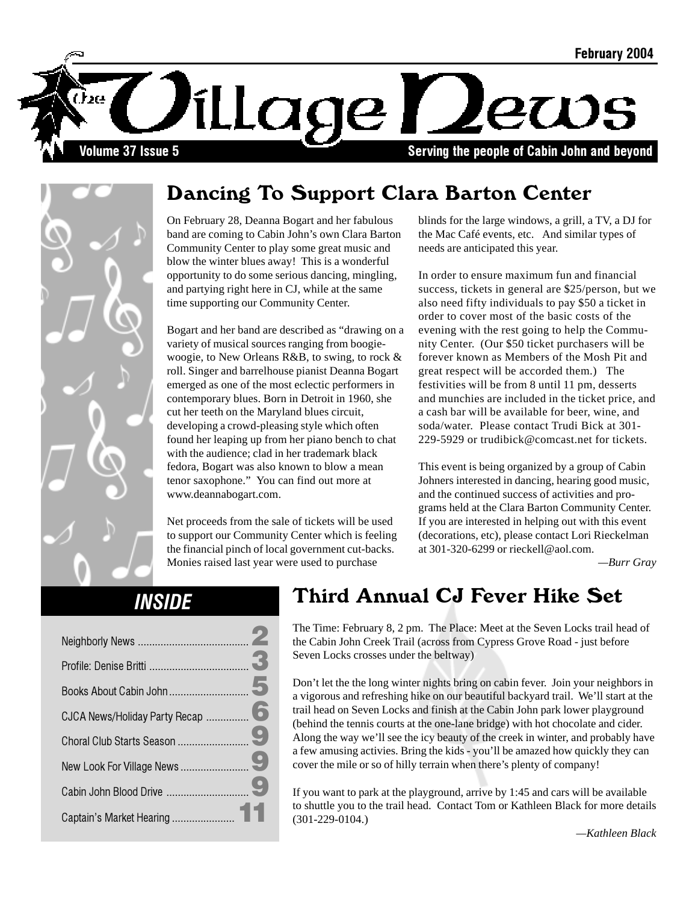

## Dancing To Support Clara Barton Center

On February 28, Deanna Bogart and her fabulous band are coming to Cabin John's own Clara Barton Community Center to play some great music and blow the winter blues away! This is a wonderful opportunity to do some serious dancing, mingling, and partying right here in CJ, while at the same time supporting our Community Center.

Bogart and her band are described as "drawing on a variety of musical sources ranging from boogiewoogie, to New Orleans R&B, to swing, to rock & roll. Singer and barrelhouse pianist Deanna Bogart emerged as one of the most eclectic performers in contemporary blues. Born in Detroit in 1960, she cut her teeth on the Maryland blues circuit, developing a crowd-pleasing style which often found her leaping up from her piano bench to chat with the audience; clad in her trademark black fedora, Bogart was also known to blow a mean tenor saxophone." You can find out more at www.deannabogart.com.

Net proceeds from the sale of tickets will be used to support our Community Center which is feeling the financial pinch of local government cut-backs. Monies raised last year were used to purchase

blinds for the large windows, a grill, a TV, a DJ for the Mac Café events, etc. And similar types of needs are anticipated this year.

In order to ensure maximum fun and financial success, tickets in general are \$25/person, but we also need fifty individuals to pay \$50 a ticket in order to cover most of the basic costs of the evening with the rest going to help the Community Center. (Our \$50 ticket purchasers will be forever known as Members of the Mosh Pit and great respect will be accorded them.) The festivities will be from 8 until 11 pm, desserts and munchies are included in the ticket price, and a cash bar will be available for beer, wine, and soda/water. Please contact Trudi Bick at 301- 229-5929 or trudibick@comcast.net for tickets.

This event is being organized by a group of Cabin Johners interested in dancing, hearing good music, and the continued success of activities and programs held at the Clara Barton Community Center. If you are interested in helping out with this event (decorations, etc), please contact Lori Rieckelman at 301-320-6299 or rieckell@aol.com.

*—Burr Gray*

#### **INSIDE**

### Third Annual CJ Fever Hike Set

The Time: February 8, 2 pm. The Place: Meet at the Seven Locks trail head of the Cabin John Creek Trail (across from Cypress Grove Road - just before Seven Locks crosses under the beltway)

Don't let the the long winter nights bring on cabin fever. Join your neighbors in a vigorous and refreshing hike on our beautiful backyard trail. We'll start at the trail head on Seven Locks and finish at the Cabin John park lower playground (behind the tennis courts at the one-lane bridge) with hot chocolate and cider. Along the way we'll see the icy beauty of the creek in winter, and probably have a few amusing activies. Bring the kids - you'll be amazed how quickly they can cover the mile or so of hilly terrain when there's plenty of company!

If you want to park at the playground, arrive by 1:45 and cars will be available to shuttle you to the trail head. Contact Tom or Kathleen Black for more details (301-229-0104.)

 *—Kathleen Black*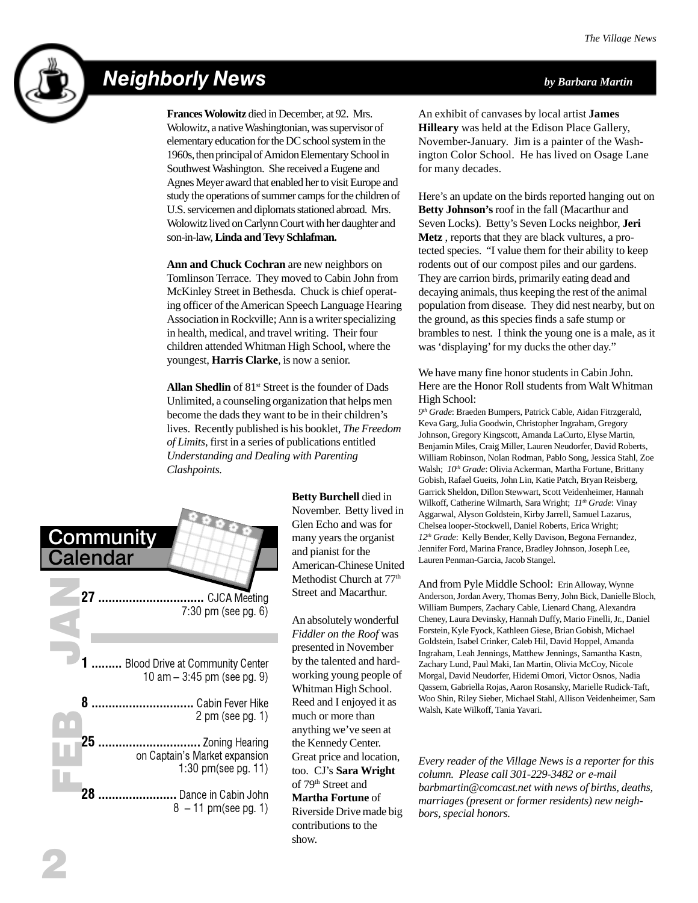

## Neighborly News *by Barbara Martin*

**Frances Wolowitz** died in December, at 92. Mrs. Wolowitz, a native Washingtonian, was supervisor of elementary education for the DC school system in the 1960s, then principal of Amidon Elementary School in Southwest Washington. She received a Eugene and Agnes Meyer award that enabled her to visit Europe and study the operations of summer camps for the children of U.S. servicemen and diplomats stationed abroad. Mrs. Wolowitz lived on Carlynn Court with her daughter and son-in-law, **Linda and Tevy Schlafman.**

**Ann and Chuck Cochran** are new neighbors on Tomlinson Terrace. They moved to Cabin John from McKinley Street in Bethesda. Chuck is chief operating officer of the American Speech Language Hearing Association in Rockville; Ann is a writer specializing in health, medical, and travel writing. Their four children attended Whitman High School, where the youngest, **Harris Clarke**, is now a senior.

Allan Shedlin of 81<sup>st</sup> Street is the founder of Dads Unlimited, a counseling organization that helps men become the dads they want to be in their children's lives. Recently published is his booklet, *The Freedom of Limits*, first in a series of publications entitled *Understanding and Dealing with Parenting Clashpoints.*



**Betty Burchell** died in November. Betty lived in Glen Echo and was for many years the organist and pianist for the American-Chinese United Methodist Church at 77<sup>th</sup> Street and Macarthur.

An absolutely wonderful *Fiddler on the Roof* was presented in November by the talented and hardworking young people of Whitman High School. Reed and I enjoyed it as much or more than anything we've seen at the Kennedy Center. Great price and location, too. CJ's **Sara Wright** of 79<sup>th</sup> Street and **Martha Fortune** of Riverside Drive made big contributions to the show.

An exhibit of canvases by local artist **James Hilleary** was held at the Edison Place Gallery, November-January. Jim is a painter of the Washington Color School. He has lived on Osage Lane for many decades.

Here's an update on the birds reported hanging out on **Betty Johnson's** roof in the fall (Macarthur and Seven Locks). Betty's Seven Locks neighbor, **Jeri Metz** , reports that they are black vultures, a protected species. "I value them for their ability to keep rodents out of our compost piles and our gardens. They are carrion birds, primarily eating dead and decaying animals, thus keeping the rest of the animal population from disease. They did nest nearby, but on the ground, as this species finds a safe stump or brambles to nest. I think the young one is a male, as it was 'displaying' for my ducks the other day."

We have many fine honor students in Cabin John. Here are the Honor Roll students from Walt Whitman High School:

*9th Grade*: Braeden Bumpers, Patrick Cable, Aidan Fitrzgerald, Keva Garg, Julia Goodwin, Christopher Ingraham, Gregory Johnson, Gregory Kingscott, Amanda LaCurto, Elyse Martin, Benjamin Miles, Craig Miller, Lauren Neudorfer, David Roberts, William Robinson, Nolan Rodman, Pablo Song, Jessica Stahl, Zoe Walsh; *10<sup>th</sup> Grade*: Olivia Ackerman, Martha Fortune, Brittany Gobish, Rafael Gueits, John Lin, Katie Patch, Bryan Reisberg, Garrick Sheldon, Dillon Stewwart, Scott Veidenheimer, Hannah Wilkoff, Catherine Wilmarth, Sara Wright;  $11<sup>th</sup> Grade$ : Vinay Aggarwal, Alyson Goldstein, Kirby Jarrell, Samuel Lazarus, Chelsea looper-Stockwell, Daniel Roberts, Erica Wright; *12th Grade*: Kelly Bender, Kelly Davison, Begona Fernandez, Jennifer Ford, Marina France, Bradley Johnson, Joseph Lee, Lauren Penman-Garcia, Jacob Stangel.

And from Pyle Middle School: Erin Alloway, Wynne Anderson, Jordan Avery, Thomas Berry, John Bick, Danielle Bloch, William Bumpers, Zachary Cable, Lienard Chang, Alexandra Cheney, Laura Devinsky, Hannah Duffy, Mario Finelli, Jr., Daniel Forstein, Kyle Fyock, Kathleen Giese, Brian Gobish, Michael Goldstein, Isabel Crinker, Caleb Hil, David Hoppel, Amanda Ingraham, Leah Jennings, Matthew Jennings, Samantha Kastn, Zachary Lund, Paul Maki, Ian Martin, Olivia McCoy, Nicole Morgal, David Neudorfer, Hidemi Omori, Victor Osnos, Nadia Qassem, Gabriella Rojas, Aaron Rosansky, Marielle Rudick-Taft, Woo Shin, Riley Sieber, Michael Stahl, Allison Veidenheimer, Sam Walsh, Kate Wilkoff, Tania Yavari.

*Every reader of the Village News is a reporter for this column. Please call 301-229-3482 or e-mail barbmartin@comcast.net with news of births, deaths, marriages (present or former residents) new neighbors, special honors.*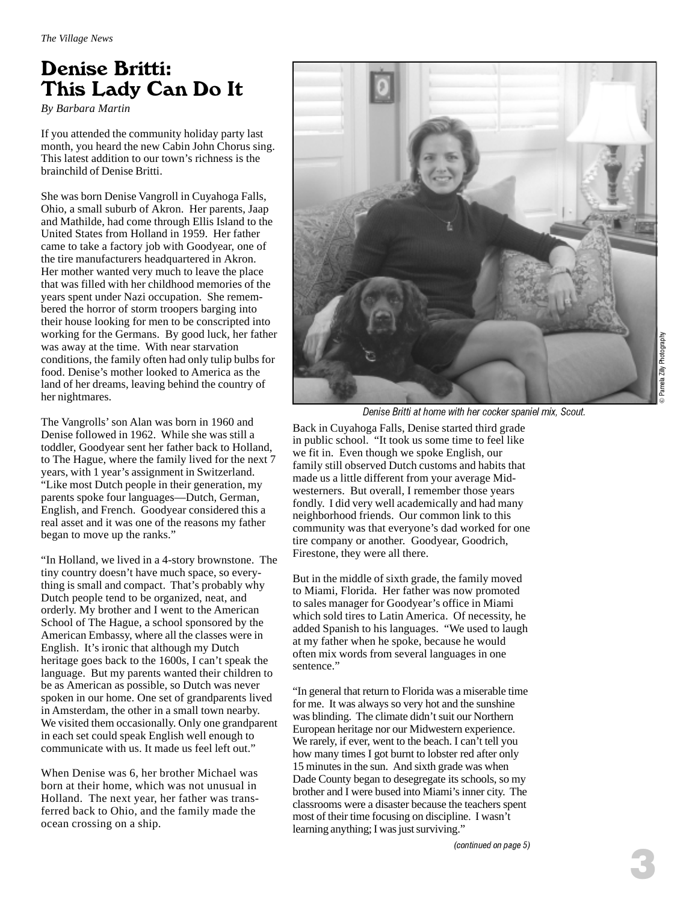## Denise Britti: This Lady Can Do It

*By Barbara Martin*

If you attended the community holiday party last month, you heard the new Cabin John Chorus sing. This latest addition to our town's richness is the brainchild of Denise Britti.

She was born Denise Vangroll in Cuyahoga Falls, Ohio, a small suburb of Akron. Her parents, Jaap and Mathilde, had come through Ellis Island to the United States from Holland in 1959. Her father came to take a factory job with Goodyear, one of the tire manufacturers headquartered in Akron. Her mother wanted very much to leave the place that was filled with her childhood memories of the years spent under Nazi occupation. She remembered the horror of storm troopers barging into their house looking for men to be conscripted into working for the Germans. By good luck, her father was away at the time. With near starvation conditions, the family often had only tulip bulbs for food. Denise's mother looked to America as the land of her dreams, leaving behind the country of her nightmares.

The Vangrolls' son Alan was born in 1960 and Denise followed in 1962. While she was still a toddler, Goodyear sent her father back to Holland, to The Hague, where the family lived for the next 7 years, with 1 year's assignment in Switzerland. "Like most Dutch people in their generation, my parents spoke four languages—Dutch, German, English, and French. Goodyear considered this a real asset and it was one of the reasons my father began to move up the ranks."

"In Holland, we lived in a 4-story brownstone. The tiny country doesn't have much space, so everything is small and compact. That's probably why Dutch people tend to be organized, neat, and orderly. My brother and I went to the American School of The Hague, a school sponsored by the American Embassy, where all the classes were in English. It's ironic that although my Dutch heritage goes back to the 1600s, I can't speak the language. But my parents wanted their children to be as American as possible, so Dutch was never spoken in our home. One set of grandparents lived in Amsterdam, the other in a small town nearby. We visited them occasionally. Only one grandparent in each set could speak English well enough to communicate with us. It made us feel left out."

When Denise was 6, her brother Michael was born at their home, which was not unusual in Holland. The next year, her father was transferred back to Ohio, and the family made the ocean crossing on a ship.



Denise Britti at home with her cocker spaniel mix, Scout.

Back in Cuyahoga Falls, Denise started third grade in public school. "It took us some time to feel like we fit in. Even though we spoke English, our family still observed Dutch customs and habits that made us a little different from your average Midwesterners. But overall, I remember those years fondly. I did very well academically and had many neighborhood friends. Our common link to this community was that everyone's dad worked for one tire company or another. Goodyear, Goodrich, Firestone, they were all there.

But in the middle of sixth grade, the family moved to Miami, Florida. Her father was now promoted to sales manager for Goodyear's office in Miami which sold tires to Latin America. Of necessity, he added Spanish to his languages. "We used to laugh at my father when he spoke, because he would often mix words from several languages in one sentence."

"In general that return to Florida was a miserable time for me. It was always so very hot and the sunshine was blinding. The climate didn't suit our Northern European heritage nor our Midwestern experience. We rarely, if ever, went to the beach. I can't tell you how many times I got burnt to lobster red after only 15 minutes in the sun. And sixth grade was when Dade County began to desegregate its schools, so my brother and I were bused into Miami's inner city. The classrooms were a disaster because the teachers spent most of their time focusing on discipline. I wasn't learning anything; I was just surviving."

© Pamela Zilly Photography

Pamela Zilly Photography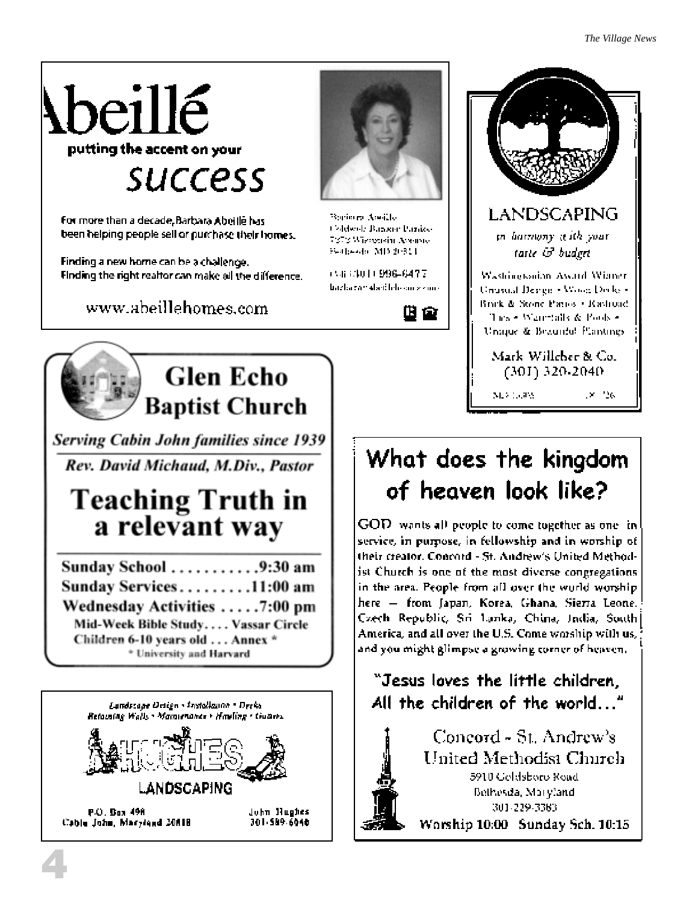# beillé putting the accent on your **SUCCESS**

For more than a decade, Barbara Abeille has been helping people sell or purchase their homes.

Finding a new home can be a challenge. Finding the right realtor can make all the difference.

www.abeillehomes.com



Borinara Awille Coldwolf Bangair Panice 7373 Wistersin Avenue Sedasedo: MD 20311

CG 64011996-6477 bazlarzan elsetilele an sizine-

四會



**Serving Cabin John families since 1939** Rev. David Michaud, M.Div., Pastor

# **Teaching Truth in** a relevant way

| Sunday School 9:30 am              |  |
|------------------------------------|--|
| Sunday Services 11:00 am           |  |
| Wednesday Activities 7:00 pm       |  |
| Mid-Week Bible Study Vassar Circle |  |
| Children 6-10 years old  Annex *   |  |
| * University and Harvard           |  |



## Unique & Beautiful Plantings. Mark Willeber & Co.  $(301)$  320-2040.  $\times$  26 M23 130PM

LANDSCAPING

in barnony aith your

taste & budget

Washingtonian Award Winner.

Unusual Design + Wood Decks + Brack & Stone Patros . Rashuad.

These Ware talk & Pools -

# What does the kingdom of heaven look like?

GOD wants all people to come together as one inservice, in purpose, in fellowship and in worship of their creator. Concord - St. Andrew's United Methodist Church is one of the most diverse congregations in the area. People from all over the world worshiphere — from Japan, Korea, Ghana, Sierra Leone. Czech Republic, Sri Lanka, China, India, South| America, and all over the U.S. Come worship with us, and you might glimpse a growing corner of heaven.

## "Jesus loves the little children, All the children of the world..."

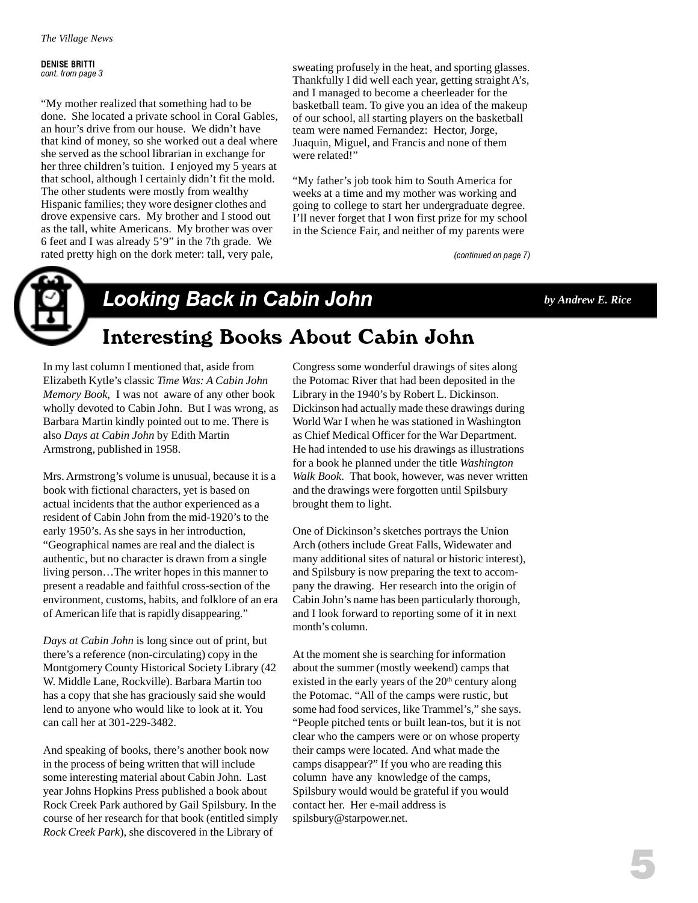DENISE BRITTI cont. from page 3

"My mother realized that something had to be done. She located a private school in Coral Gables, an hour's drive from our house. We didn't have that kind of money, so she worked out a deal where she served as the school librarian in exchange for her three children's tuition. I enjoyed my 5 years at that school, although I certainly didn't fit the mold. The other students were mostly from wealthy Hispanic families; they wore designer clothes and drove expensive cars. My brother and I stood out as the tall, white Americans. My brother was over 6 feet and I was already 5'9" in the 7th grade. We rated pretty high on the dork meter: tall, very pale,

sweating profusely in the heat, and sporting glasses. Thankfully I did well each year, getting straight A's, and I managed to become a cheerleader for the basketball team. To give you an idea of the makeup of our school, all starting players on the basketball team were named Fernandez: Hector, Jorge, Juaquin, Miguel, and Francis and none of them were related!"

"My father's job took him to South America for weeks at a time and my mother was working and going to college to start her undergraduate degree. I'll never forget that I won first prize for my school in the Science Fair, and neither of my parents were

(continued on page 7)



## Looking Back in Cabin John *by Andrew E. Rice*

Interesting Books About Cabin John

#### In my last column I mentioned that, aside from Elizabeth Kytle's classic *Time Was: A Cabin John Memory Book*, I was not aware of any other book wholly devoted to Cabin John. But I was wrong, as Barbara Martin kindly pointed out to me. There is

also *Days at Cabin John* by Edith Martin Armstrong, published in 1958. Mrs. Armstrong's volume is unusual, because it is a book with fictional characters, yet is based on actual incidents that the author experienced as a

resident of Cabin John from the mid-1920's to the early 1950's. As she says in her introduction, "Geographical names are real and the dialect is authentic, but no character is drawn from a single living person…The writer hopes in this manner to present a readable and faithful cross-section of the environment, customs, habits, and folklore of an era of American life that is rapidly disappearing."

*Days at Cabin John* is long since out of print, but there's a reference (non-circulating) copy in the Montgomery County Historical Society Library (42 W. Middle Lane, Rockville). Barbara Martin too has a copy that she has graciously said she would lend to anyone who would like to look at it. You can call her at 301-229-3482.

And speaking of books, there's another book now in the process of being written that will include some interesting material about Cabin John. Last year Johns Hopkins Press published a book about Rock Creek Park authored by Gail Spilsbury. In the course of her research for that book (entitled simply *Rock Creek Park*), she discovered in the Library of

Congress some wonderful drawings of sites along the Potomac River that had been deposited in the Library in the 1940's by Robert L. Dickinson. Dickinson had actually made these drawings during World War I when he was stationed in Washington as Chief Medical Officer for the War Department. He had intended to use his drawings as illustrations for a book he planned under the title *Washington Walk Book*. That book, however, was never written and the drawings were forgotten until Spilsbury brought them to light.

One of Dickinson's sketches portrays the Union Arch (others include Great Falls, Widewater and many additional sites of natural or historic interest), and Spilsbury is now preparing the text to accompany the drawing. Her research into the origin of Cabin John's name has been particularly thorough, and I look forward to reporting some of it in next month's column.

At the moment she is searching for information about the summer (mostly weekend) camps that existed in the early years of the  $20<sup>th</sup>$  century along the Potomac. "All of the camps were rustic, but some had food services, like Trammel's," she says. "People pitched tents or built lean-tos, but it is not clear who the campers were or on whose property their camps were located. And what made the camps disappear?" If you who are reading this column have any knowledge of the camps, Spilsbury would would be grateful if you would contact her. Her e-mail address is spilsbury@starpower.net.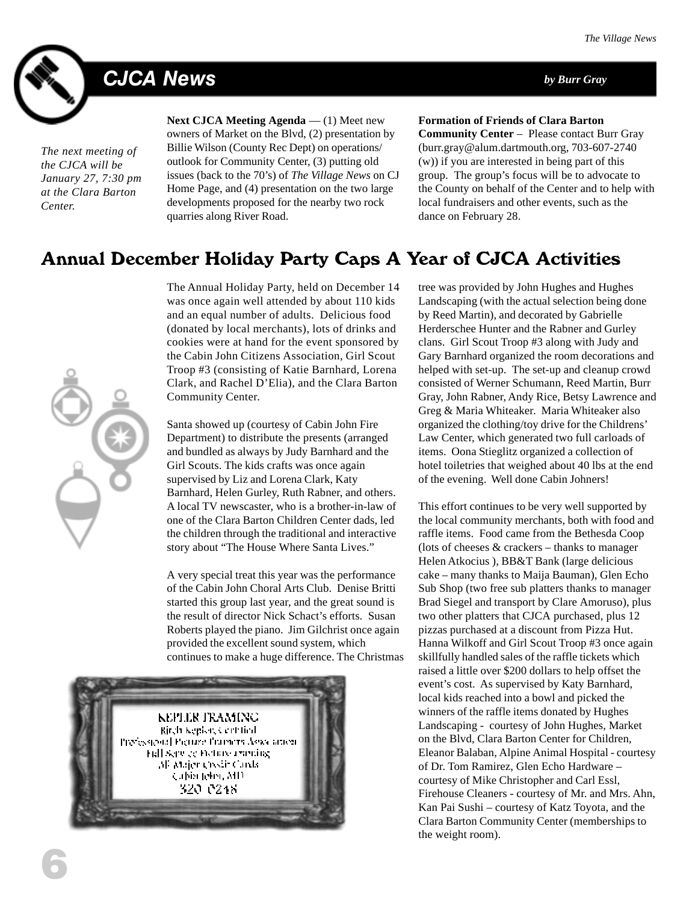

# CJCA News *by Burr Gray*

*The next meeting of the CJCA will be January 27, 7:30 pm at the Clara Barton Center.*

**Next CJCA Meeting Agenda** — (1) Meet new owners of Market on the Blvd, (2) presentation by Billie Wilson (County Rec Dept) on operations/ outlook for Community Center, (3) putting old issues (back to the 70's) of *The Village News* on CJ Home Page, and (4) presentation on the two large developments proposed for the nearby two rock quarries along River Road.

**Formation of Friends of Clara Barton**

**Community Center** – Please contact Burr Gray (burr.gray@alum.dartmouth.org, 703-607-2740 (w)) if you are interested in being part of this group. The group's focus will be to advocate to the County on behalf of the Center and to help with local fundraisers and other events, such as the dance on February 28.

#### Annual December Holiday Party Caps A Year of CJCA Activities



The Annual Holiday Party, held on December 14 was once again well attended by about 110 kids and an equal number of adults. Delicious food (donated by local merchants), lots of drinks and cookies were at hand for the event sponsored by the Cabin John Citizens Association, Girl Scout Troop #3 (consisting of Katie Barnhard, Lorena Clark, and Rachel D'Elia), and the Clara Barton Community Center.

Santa showed up (courtesy of Cabin John Fire Department) to distribute the presents (arranged and bundled as always by Judy Barnhard and the Girl Scouts. The kids crafts was once again supervised by Liz and Lorena Clark, Katy Barnhard, Helen Gurley, Ruth Rabner, and others. A local TV newscaster, who is a brother-in-law of one of the Clara Barton Children Center dads, led the children through the traditional and interactive story about "The House Where Santa Lives."

A very special treat this year was the performance of the Cabin John Choral Arts Club. Denise Britti started this group last year, and the great sound is the result of director Nick Schact's efforts. Susan Roberts played the piano. Jim Gilchrist once again provided the excellent sound system, which continues to make a huge difference. The Christmas



tree was provided by John Hughes and Hughes Landscaping (with the actual selection being done by Reed Martin), and decorated by Gabrielle Herderschee Hunter and the Rabner and Gurley clans. Girl Scout Troop #3 along with Judy and Gary Barnhard organized the room decorations and helped with set-up. The set-up and cleanup crowd consisted of Werner Schumann, Reed Martin, Burr Gray, John Rabner, Andy Rice, Betsy Lawrence and Greg & Maria Whiteaker. Maria Whiteaker also organized the clothing/toy drive for the Childrens' Law Center, which generated two full carloads of items. Oona Stieglitz organized a collection of hotel toiletries that weighed about 40 lbs at the end of the evening. Well done Cabin Johners!

This effort continues to be very well supported by the local community merchants, both with food and raffle items. Food came from the Bethesda Coop (lots of cheeses & crackers – thanks to manager Helen Atkocius ), BB&T Bank (large delicious cake – many thanks to Maija Bauman), Glen Echo Sub Shop (two free sub platters thanks to manager Brad Siegel and transport by Clare Amoruso), plus two other platters that CJCA purchased, plus 12 pizzas purchased at a discount from Pizza Hut. Hanna Wilkoff and Girl Scout Troop #3 once again skillfully handled sales of the raffle tickets which raised a little over \$200 dollars to help offset the event's cost. As supervised by Katy Barnhard, local kids reached into a bowl and picked the winners of the raffle items donated by Hughes Landscaping - courtesy of John Hughes, Market on the Blvd, Clara Barton Center for Children, Eleanor Balaban, Alpine Animal Hospital - courtesy of Dr. Tom Ramirez, Glen Echo Hardware – courtesy of Mike Christopher and Carl Essl, Firehouse Cleaners - courtesy of Mr. and Mrs. Ahn, Kan Pai Sushi – courtesy of Katz Toyota, and the Clara Barton Community Center (memberships to the weight room).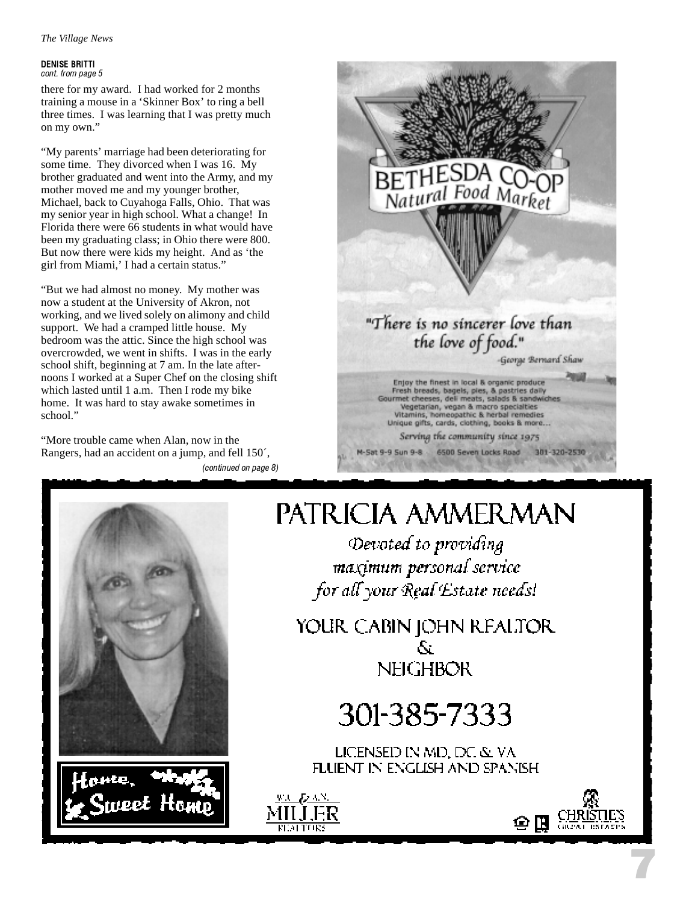#### DENISE BRITTI cont. from page 5

there for my award. I had worked for 2 months training a mouse in a 'Skinner Box' to ring a bell three times. I was learning that I was pretty much on my own."

"My parents' marriage had been deteriorating for some time. They divorced when I was 16. My brother graduated and went into the Army, and my mother moved me and my younger brother, Michael, back to Cuyahoga Falls, Ohio. That was my senior year in high school. What a change! In Florida there were 66 students in what would have been my graduating class; in Ohio there were 800. But now there were kids my height. And as 'the girl from Miami,' I had a certain status."

"But we had almost no money. My mother was now a student at the University of Akron, not working, and we lived solely on alimony and child support. We had a cramped little house. My bedroom was the attic. Since the high school was overcrowded, we went in shifts. I was in the early school shift, beginning at 7 am. In the late afternoons I worked at a Super Chef on the closing shift which lasted until 1 a.m. Then I rode my bike home. It was hard to stay awake sometimes in school."

"More trouble came when Alan, now in the Rangers, had an accident on a jump, and fell 150´, (continued on page 8)







# PATRICIA AMMERMAN

Devoted to providing maximum personal service for all your Real Estate needs!

YOUR CABIN JOHN REALTOR Ñ. **NEIGHBOR** 

# 301-385-7333

LICENSED IN MD, DC & VA FLUENT IN ENGLISH AND SPANISH





7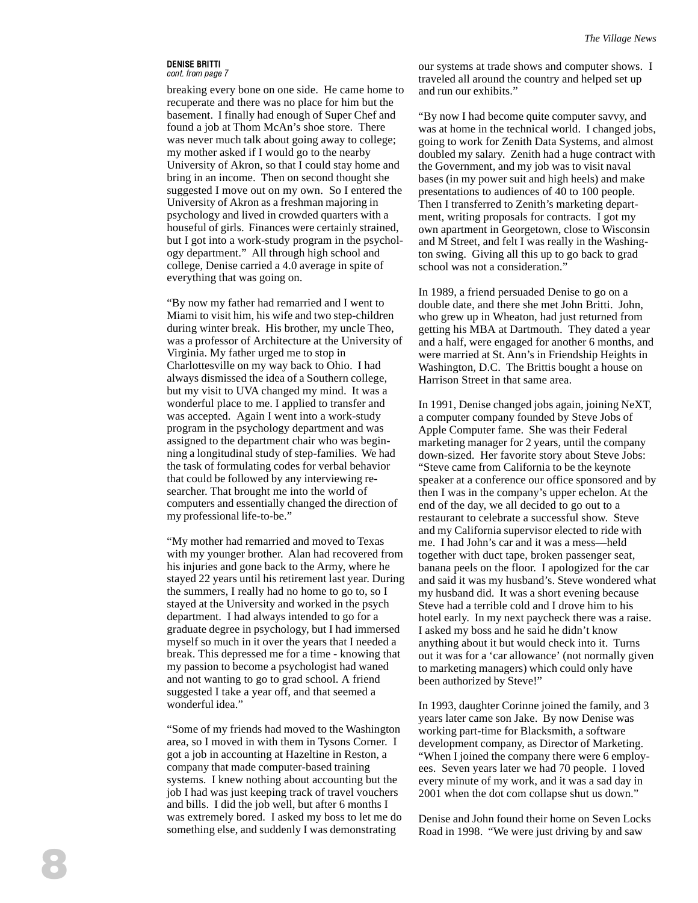#### DENISE BRITTI cont. from page 7

breaking every bone on one side. He came home to recuperate and there was no place for him but the basement. I finally had enough of Super Chef and found a job at Thom McAn's shoe store. There was never much talk about going away to college; my mother asked if I would go to the nearby University of Akron, so that I could stay home and bring in an income. Then on second thought she suggested I move out on my own. So I entered the University of Akron as a freshman majoring in psychology and lived in crowded quarters with a houseful of girls. Finances were certainly strained, but I got into a work-study program in the psychology department." All through high school and college, Denise carried a 4.0 average in spite of everything that was going on.

"By now my father had remarried and I went to Miami to visit him, his wife and two step-children during winter break. His brother, my uncle Theo, was a professor of Architecture at the University of Virginia. My father urged me to stop in Charlottesville on my way back to Ohio. I had always dismissed the idea of a Southern college, but my visit to UVA changed my mind. It was a wonderful place to me. I applied to transfer and was accepted. Again I went into a work-study program in the psychology department and was assigned to the department chair who was beginning a longitudinal study of step-families. We had the task of formulating codes for verbal behavior that could be followed by any interviewing researcher. That brought me into the world of computers and essentially changed the direction of my professional life-to-be."

"My mother had remarried and moved to Texas with my younger brother. Alan had recovered from his injuries and gone back to the Army, where he stayed 22 years until his retirement last year. During the summers, I really had no home to go to, so I stayed at the University and worked in the psych department. I had always intended to go for a graduate degree in psychology, but I had immersed myself so much in it over the years that I needed a break. This depressed me for a time - knowing that my passion to become a psychologist had waned and not wanting to go to grad school. A friend suggested I take a year off, and that seemed a wonderful idea."

"Some of my friends had moved to the Washington area, so I moved in with them in Tysons Corner. I got a job in accounting at Hazeltine in Reston, a company that made computer-based training systems. I knew nothing about accounting but the job I had was just keeping track of travel vouchers and bills. I did the job well, but after 6 months I was extremely bored. I asked my boss to let me do something else, and suddenly I was demonstrating

our systems at trade shows and computer shows. I traveled all around the country and helped set up and run our exhibits."

"By now I had become quite computer savvy, and was at home in the technical world. I changed jobs, going to work for Zenith Data Systems, and almost doubled my salary. Zenith had a huge contract with the Government, and my job was to visit naval bases (in my power suit and high heels) and make presentations to audiences of 40 to 100 people. Then I transferred to Zenith's marketing department, writing proposals for contracts. I got my own apartment in Georgetown, close to Wisconsin and M Street, and felt I was really in the Washington swing. Giving all this up to go back to grad school was not a consideration."

In 1989, a friend persuaded Denise to go on a double date, and there she met John Britti. John, who grew up in Wheaton, had just returned from getting his MBA at Dartmouth. They dated a year and a half, were engaged for another 6 months, and were married at St. Ann's in Friendship Heights in Washington, D.C. The Brittis bought a house on Harrison Street in that same area.

In 1991, Denise changed jobs again, joining NeXT, a computer company founded by Steve Jobs of Apple Computer fame. She was their Federal marketing manager for 2 years, until the company down-sized. Her favorite story about Steve Jobs: "Steve came from California to be the keynote speaker at a conference our office sponsored and by then I was in the company's upper echelon. At the end of the day, we all decided to go out to a restaurant to celebrate a successful show. Steve and my California supervisor elected to ride with me. I had John's car and it was a mess—held together with duct tape, broken passenger seat, banana peels on the floor. I apologized for the car and said it was my husband's. Steve wondered what my husband did. It was a short evening because Steve had a terrible cold and I drove him to his hotel early. In my next paycheck there was a raise. I asked my boss and he said he didn't know anything about it but would check into it. Turns out it was for a 'car allowance' (not normally given to marketing managers) which could only have been authorized by Steve!"

In 1993, daughter Corinne joined the family, and 3 years later came son Jake. By now Denise was working part-time for Blacksmith, a software development company, as Director of Marketing. "When I joined the company there were 6 employees. Seven years later we had 70 people. I loved every minute of my work, and it was a sad day in 2001 when the dot com collapse shut us down."

Denise and John found their home on Seven Locks Road in 1998. "We were just driving by and saw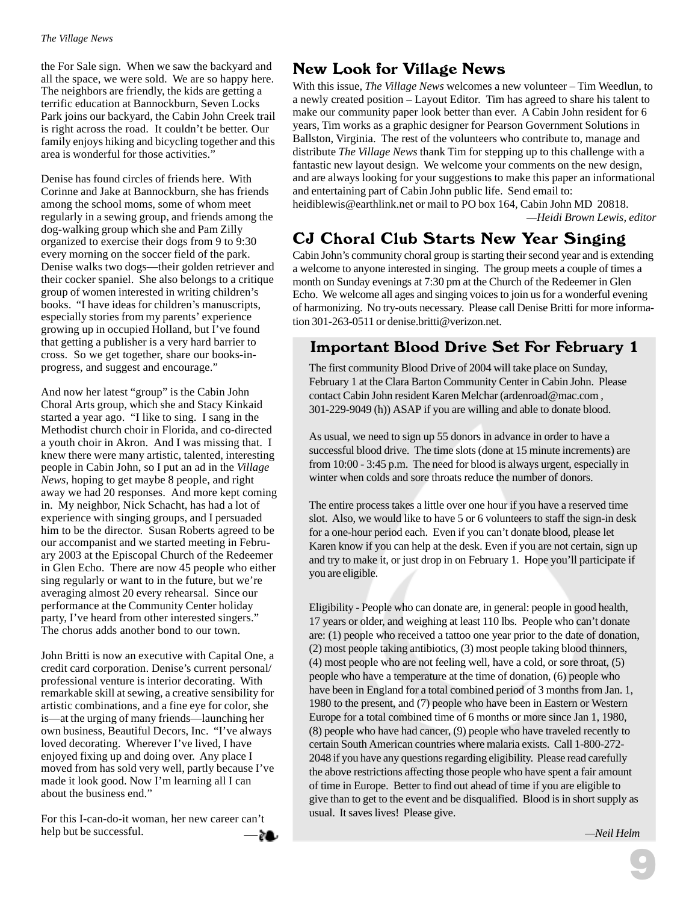the For Sale sign. When we saw the backyard and all the space, we were sold. We are so happy here. The neighbors are friendly, the kids are getting a terrific education at Bannockburn, Seven Locks Park joins our backyard, the Cabin John Creek trail is right across the road. It couldn't be better. Our family enjoys hiking and bicycling together and this area is wonderful for those activities."

Denise has found circles of friends here. With Corinne and Jake at Bannockburn, she has friends among the school moms, some of whom meet regularly in a sewing group, and friends among the dog-walking group which she and Pam Zilly organized to exercise their dogs from 9 to 9:30 every morning on the soccer field of the park. Denise walks two dogs—their golden retriever and their cocker spaniel. She also belongs to a critique group of women interested in writing children's books. "I have ideas for children's manuscripts, especially stories from my parents' experience growing up in occupied Holland, but I've found that getting a publisher is a very hard barrier to cross. So we get together, share our books-inprogress, and suggest and encourage."

And now her latest "group" is the Cabin John Choral Arts group, which she and Stacy Kinkaid started a year ago. "I like to sing. I sang in the Methodist church choir in Florida, and co-directed a youth choir in Akron. And I was missing that. I knew there were many artistic, talented, interesting people in Cabin John, so I put an ad in the *Village News*, hoping to get maybe 8 people, and right away we had 20 responses. And more kept coming in. My neighbor, Nick Schacht, has had a lot of experience with singing groups, and I persuaded him to be the director. Susan Roberts agreed to be our accompanist and we started meeting in February 2003 at the Episcopal Church of the Redeemer in Glen Echo. There are now 45 people who either sing regularly or want to in the future, but we're averaging almost 20 every rehearsal. Since our performance at the Community Center holiday party, I've heard from other interested singers." The chorus adds another bond to our town.

John Britti is now an executive with Capital One, a credit card corporation. Denise's current personal/ professional venture is interior decorating. With remarkable skill at sewing, a creative sensibility for artistic combinations, and a fine eye for color, she is—at the urging of many friends—launching her own business, Beautiful Decors, Inc. "I've always loved decorating. Wherever I've lived, I have enjoyed fixing up and doing over. Any place I moved from has sold very well, partly because I've made it look good. Now I'm learning all I can about the business end."

For this I-can-do-it woman, her new career can't help but be successful.

#### New Look for Village News

With this issue, *The Village News* welcomes a new volunteer – Tim Weedlun, to a newly created position – Layout Editor. Tim has agreed to share his talent to make our community paper look better than ever. A Cabin John resident for 6 years, Tim works as a graphic designer for Pearson Government Solutions in Ballston, Virginia. The rest of the volunteers who contribute to, manage and distribute *The Village News* thank Tim for stepping up to this challenge with a fantastic new layout design. We welcome your comments on the new design, and are always looking for your suggestions to make this paper an informational and entertaining part of Cabin John public life. Send email to:

heidiblewis@earthlink.net or mail to PO box 164, Cabin John MD 20818. *—Heidi Brown Lewis, editor*

#### CJ Choral Club Starts New Year Singing

Cabin John's community choral group is starting their second year and is extending a welcome to anyone interested in singing. The group meets a couple of times a month on Sunday evenings at 7:30 pm at the Church of the Redeemer in Glen Echo. We welcome all ages and singing voices to join us for a wonderful evening of harmonizing. No try-outs necessary. Please call Denise Britti for more information 301-263-0511 or denise.britti@verizon.net.

#### Important Blood Drive Set For February 1

The first community Blood Drive of 2004 will take place on Sunday, February 1 at the Clara Barton Community Center in Cabin John. Please contact Cabin John resident Karen Melchar (ardenroad@mac.com , 301-229-9049 (h)) ASAP if you are willing and able to donate blood.

As usual, we need to sign up 55 donors in advance in order to have a successful blood drive. The time slots (done at 15 minute increments) are from 10:00 - 3:45 p.m. The need for blood is always urgent, especially in winter when colds and sore throats reduce the number of donors.

The entire process takes a little over one hour if you have a reserved time slot. Also, we would like to have 5 or 6 volunteers to staff the sign-in desk for a one-hour period each. Even if you can't donate blood, please let Karen know if you can help at the desk. Even if you are not certain, sign up and try to make it, or just drop in on February 1. Hope you'll participate if you are eligible.

Eligibility - People who can donate are, in general: people in good health, 17 years or older, and weighing at least 110 lbs. People who can't donate are: (1) people who received a tattoo one year prior to the date of donation, (2) most people taking antibiotics, (3) most people taking blood thinners, (4) most people who are not feeling well, have a cold, or sore throat, (5) people who have a temperature at the time of donation, (6) people who have been in England for a total combined period of 3 months from Jan. 1, 1980 to the present, and (7) people who have been in Eastern or Western Europe for a total combined time of 6 months or more since Jan 1, 1980, (8) people who have had cancer, (9) people who have traveled recently to certain South American countries where malaria exists. Call 1-800-272- 2048 if you have any questions regarding eligibility. Please read carefully the above restrictions affecting those people who have spent a fair amount of time in Europe. Better to find out ahead of time if you are eligible to give than to get to the event and be disqualified. Blood is in short supply as usual. It saves lives! Please give.

9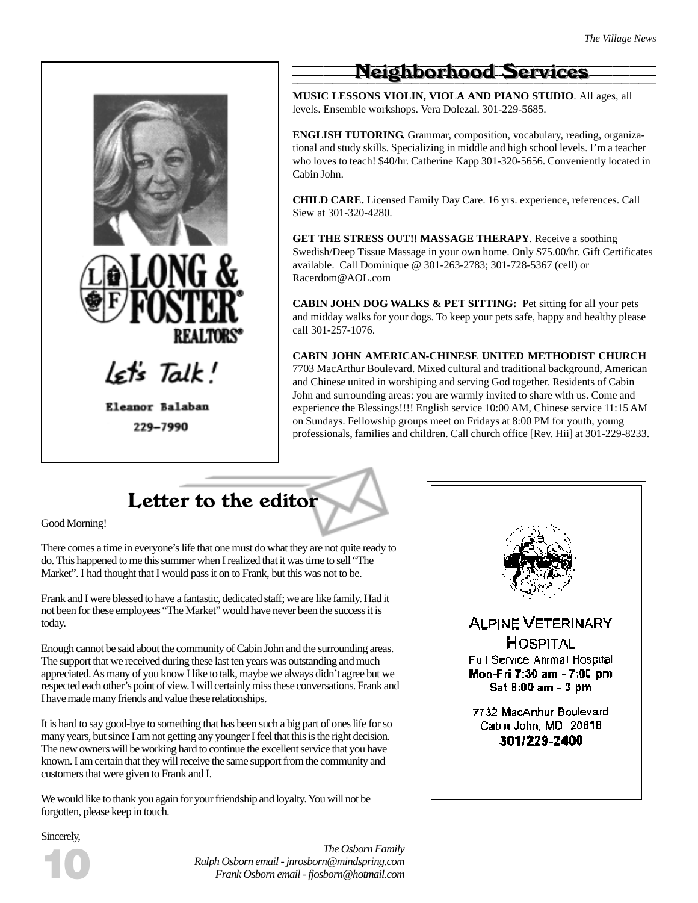

229-7990

### **Neighborhood Services**

**MUSIC LESSONS VIOLIN, VIOLA AND PIANO STUDIO**. All ages, all levels. Ensemble workshops. Vera Dolezal. 301-229-5685.

**ENGLISH TUTORING.** Grammar, composition, vocabulary, reading, organizational and study skills. Specializing in middle and high school levels. I'm a teacher who loves to teach! \$40/hr. Catherine Kapp 301-320-5656. Conveniently located in Cabin John.

**CHILD CARE.** Licensed Family Day Care. 16 yrs. experience, references. Call Siew at 301-320-4280.

**GET THE STRESS OUT!! MASSAGE THERAPY**. Receive a soothing Swedish/Deep Tissue Massage in your own home. Only \$75.00/hr. Gift Certificates available. Call Dominique @ 301-263-2783; 301-728-5367 (cell) or Racerdom@AOL.com

**CABIN JOHN DOG WALKS & PET SITTING:** Pet sitting for all your pets and midday walks for your dogs. To keep your pets safe, happy and healthy please call 301-257-1076.

**CABIN JOHN AMERICAN-CHINESE UNITED METHODIST CHURCH** 7703 MacArthur Boulevard. Mixed cultural and traditional background, American and Chinese united in worshiping and serving God together. Residents of Cabin John and surrounding areas: you are warmly invited to share with us. Come and experience the Blessings!!!! English service 10:00 AM, Chinese service 11:15 AM on Sundays. Fellowship groups meet on Fridays at 8:00 PM for youth, young professionals, families and children. Call church office [Rev. Hii] at 301-229-8233.

Letter to the editor

Good Morning!

There comes a time in everyone's life that one must do what they are not quite ready to do. This happened to me this summer when I realized that it was time to sell "The Market". I had thought that I would pass it on to Frank, but this was not to be.

Frank and I were blessed to have a fantastic, dedicated staff; we are like family. Had it not been for these employees "The Market" would have never been the success it is today.

Enough cannot be said about the community of Cabin John and the surrounding areas. The support that we received during these last ten years was outstanding and much appreciated. As many of you know I like to talk, maybe we always didn't agree but we respected each other's point of view. I will certainly miss these conversations. Frank and I have made many friends and value these relationships.

It is hard to say good-bye to something that has been such a big part of ones life for so many years, but since I am not getting any younger I feel that this is the right decision. The new owners will be working hard to continue the excellent service that you have known. I am certain that they will receive the same support from the community and customers that were given to Frank and I.

We would like to thank you again for your friendship and loyalty. You will not be forgotten, please keep in touch.



Sincerely,



*The Osborn Family Ralph Osborn email - jnrosborn@mindspring.com Frank Osborn email - fjosborn@hotmail.com*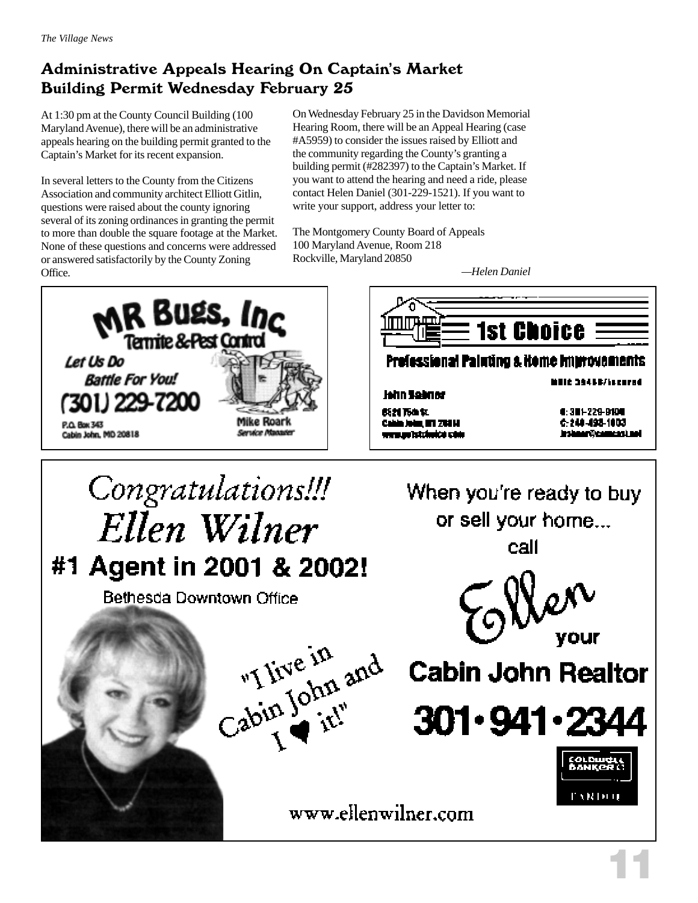#### Administrative Appeals Hearing On Captain's Market Building Permit Wednesday February 25

At 1:30 pm at the County Council Building (100 Maryland Avenue), there will be an administrative appeals hearing on the building permit granted to the Captain's Market for its recent expansion.

In several letters to the County from the Citizens Association and community architect Elliott Gitlin, questions were raised about the county ignoring several of its zoning ordinances in granting the permit to more than double the square footage at the Market. None of these questions and concerns were addressed or answered satisfactorily by the County Zoning Office.

On Wednesday February 25 in the Davidson Memorial Hearing Room, there will be an Appeal Hearing (case #A5959) to consider the issues raised by Elliott and the community regarding the County's granting a building permit (#282397) to the Captain's Market. If you want to attend the hearing and need a ride, please contact Helen Daniel (301-229-1521). If you want to write your support, address your letter to:

The Montgomery County Board of Appeals 100 Maryland Avenue, Room 218 Rockville, Maryland 20850

*—Helen Daniel*